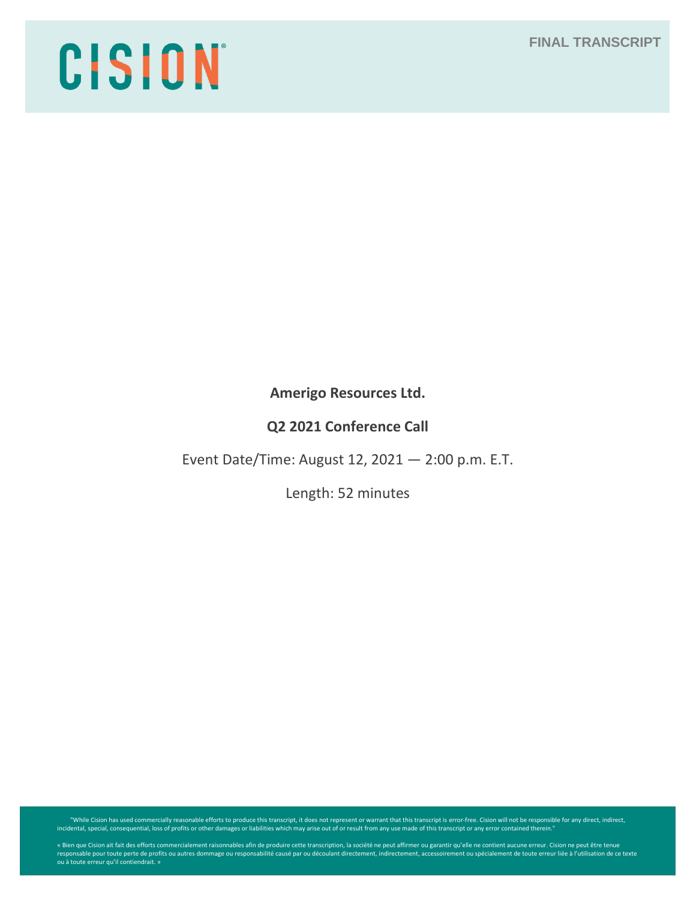# **FINAL TRANSCRIPT**

# CISION

**Amerigo Resources Ltd.**

**Q2 2021 Conference Call**

Event Date/Time: August 12, 2021 — 2:00 p.m. E.T.

Length: 52 minutes

While Cision has used commercially reasonable efforts to produce this transcript, it does not represent or warrant that this transcript is error-free. Cision will not be responsible for any direct, indirect, indirect, indi

« Bien que Cision ait fait des efforts commercialement raisonnables afin de produire cette transcription, la société ne peut affirmer ou garantir qu'elle ne contient aucune erreur. Cision ne peut être tenue<br>responsable pou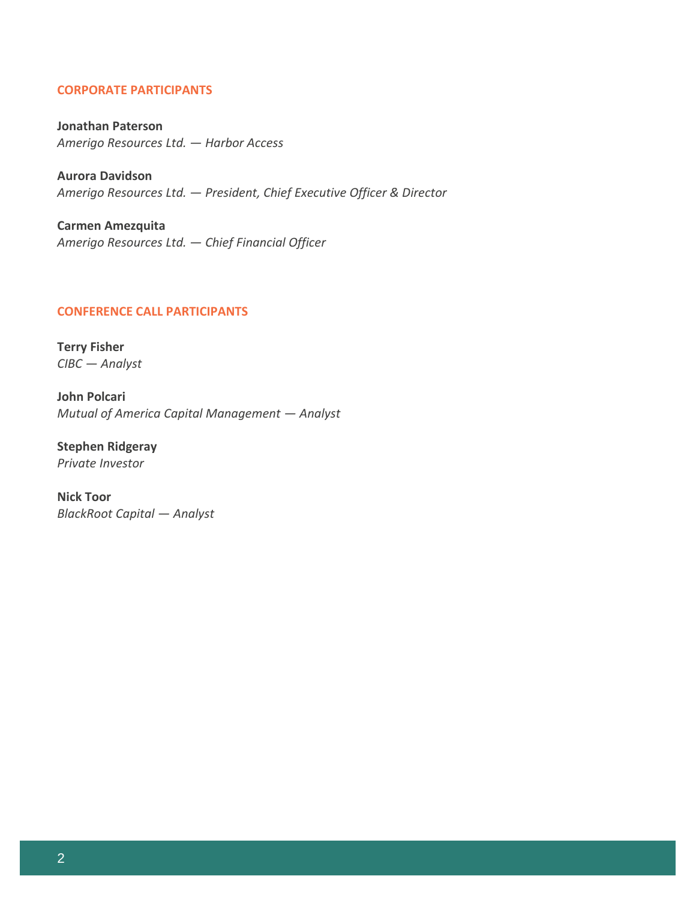# **CORPORATE PARTICIPANTS**

**Jonathan Paterson** *Amerigo Resources Ltd. — Harbor Access*

**Aurora Davidson** *Amerigo Resources Ltd. — President, Chief Executive Officer & Director*

**Carmen Amezquita** *Amerigo Resources Ltd. — Chief Financial Officer*

## **CONFERENCE CALL PARTICIPANTS**

**Terry Fisher** *CIBC — Analyst*

**John Polcari** *Mutual of America Capital Management — Analyst*

**Stephen Ridgeray** *Private Investor*

**Nick Toor** *BlackRoot Capital — Analyst*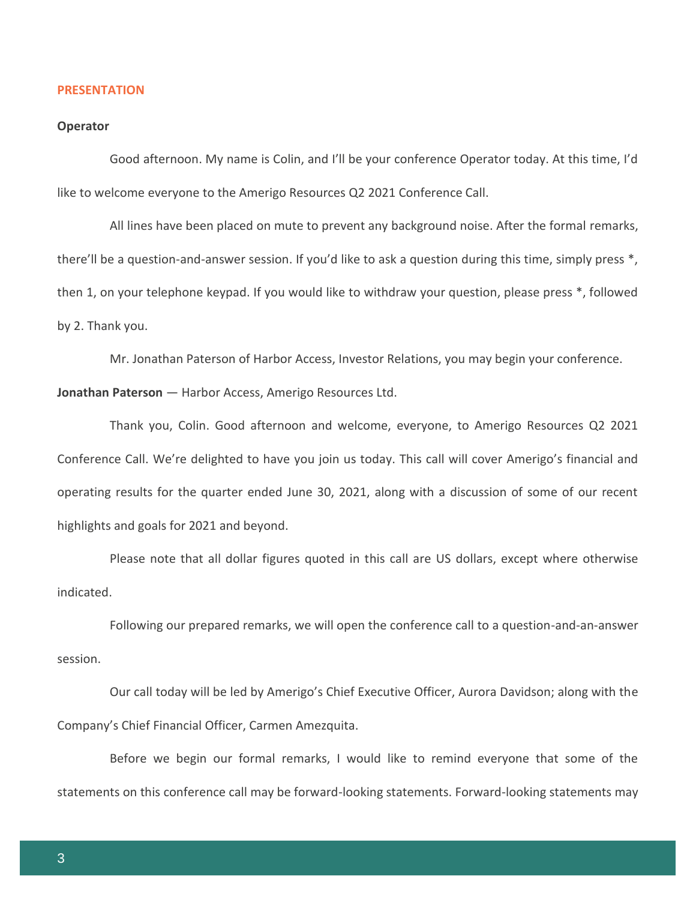#### **PRESENTATION**

#### **Operator**

Good afternoon. My name is Colin, and I'll be your conference Operator today. At this time, I'd like to welcome everyone to the Amerigo Resources Q2 2021 Conference Call.

All lines have been placed on mute to prevent any background noise. After the formal remarks, there'll be a question-and-answer session. If you'd like to ask a question during this time, simply press \*, then 1, on your telephone keypad. If you would like to withdraw your question, please press \*, followed by 2. Thank you.

Mr. Jonathan Paterson of Harbor Access, Investor Relations, you may begin your conference.

**Jonathan Paterson** — Harbor Access, Amerigo Resources Ltd.

Thank you, Colin. Good afternoon and welcome, everyone, to Amerigo Resources Q2 2021 Conference Call. We're delighted to have you join us today. This call will cover Amerigo's financial and operating results for the quarter ended June 30, 2021, along with a discussion of some of our recent highlights and goals for 2021 and beyond.

Please note that all dollar figures quoted in this call are US dollars, except where otherwise indicated.

Following our prepared remarks, we will open the conference call to a question-and-an-answer session.

Our call today will be led by Amerigo's Chief Executive Officer, Aurora Davidson; along with the Company's Chief Financial Officer, Carmen Amezquita.

Before we begin our formal remarks, I would like to remind everyone that some of the statements on this conference call may be forward-looking statements. Forward-looking statements may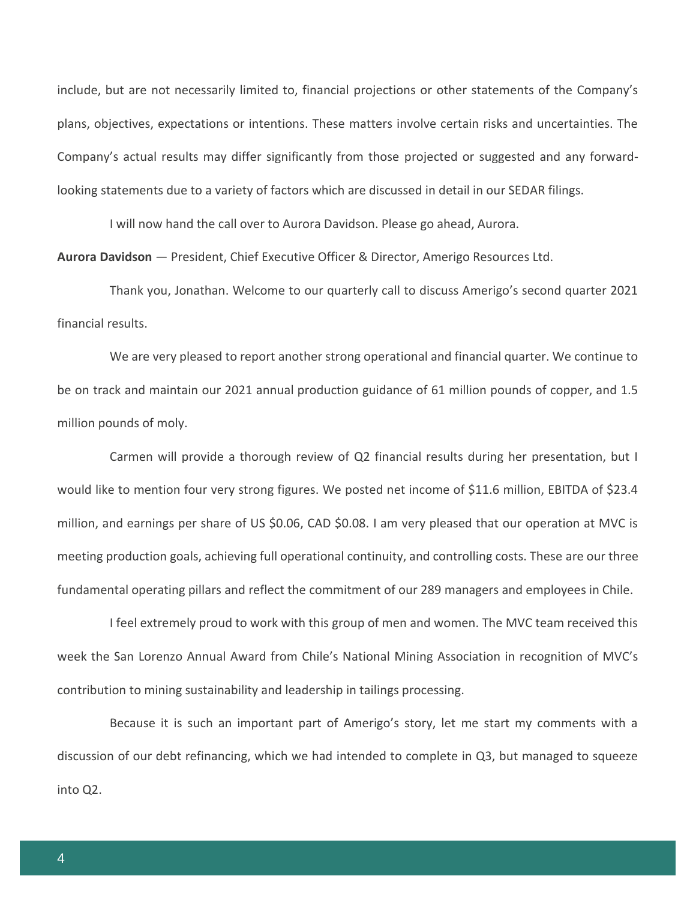include, but are not necessarily limited to, financial projections or other statements of the Company's plans, objectives, expectations or intentions. These matters involve certain risks and uncertainties. The Company's actual results may differ significantly from those projected or suggested and any forwardlooking statements due to a variety of factors which are discussed in detail in our SEDAR filings.

I will now hand the call over to Aurora Davidson. Please go ahead, Aurora.

**Aurora Davidson** — President, Chief Executive Officer & Director, Amerigo Resources Ltd.

Thank you, Jonathan. Welcome to our quarterly call to discuss Amerigo's second quarter 2021 financial results.

We are very pleased to report another strong operational and financial quarter. We continue to be on track and maintain our 2021 annual production guidance of 61 million pounds of copper, and 1.5 million pounds of moly.

Carmen will provide a thorough review of Q2 financial results during her presentation, but I would like to mention four very strong figures. We posted net income of \$11.6 million, EBITDA of \$23.4 million, and earnings per share of US \$0.06, CAD \$0.08. I am very pleased that our operation at MVC is meeting production goals, achieving full operational continuity, and controlling costs. These are our three fundamental operating pillars and reflect the commitment of our 289 managers and employees in Chile.

I feel extremely proud to work with this group of men and women. The MVC team received this week the San Lorenzo Annual Award from Chile's National Mining Association in recognition of MVC's contribution to mining sustainability and leadership in tailings processing.

Because it is such an important part of Amerigo's story, let me start my comments with a discussion of our debt refinancing, which we had intended to complete in Q3, but managed to squeeze into Q2.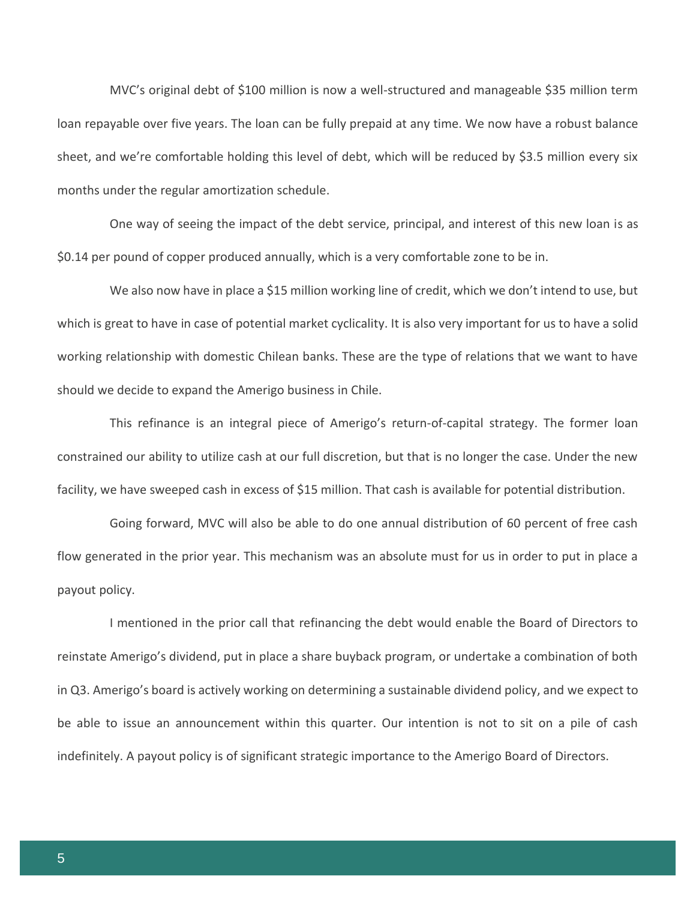MVC's original debt of \$100 million is now a well-structured and manageable \$35 million term loan repayable over five years. The loan can be fully prepaid at any time. We now have a robust balance sheet, and we're comfortable holding this level of debt, which will be reduced by \$3.5 million every six months under the regular amortization schedule.

One way of seeing the impact of the debt service, principal, and interest of this new loan is as \$0.14 per pound of copper produced annually, which is a very comfortable zone to be in.

We also now have in place a \$15 million working line of credit, which we don't intend to use, but which is great to have in case of potential market cyclicality. It is also very important for us to have a solid working relationship with domestic Chilean banks. These are the type of relations that we want to have should we decide to expand the Amerigo business in Chile.

This refinance is an integral piece of Amerigo's return-of-capital strategy. The former loan constrained our ability to utilize cash at our full discretion, but that is no longer the case. Under the new facility, we have sweeped cash in excess of \$15 million. That cash is available for potential distribution.

Going forward, MVC will also be able to do one annual distribution of 60 percent of free cash flow generated in the prior year. This mechanism was an absolute must for us in order to put in place a payout policy.

I mentioned in the prior call that refinancing the debt would enable the Board of Directors to reinstate Amerigo's dividend, put in place a share buyback program, or undertake a combination of both in Q3. Amerigo's board is actively working on determining a sustainable dividend policy, and we expect to be able to issue an announcement within this quarter. Our intention is not to sit on a pile of cash indefinitely. A payout policy is of significant strategic importance to the Amerigo Board of Directors.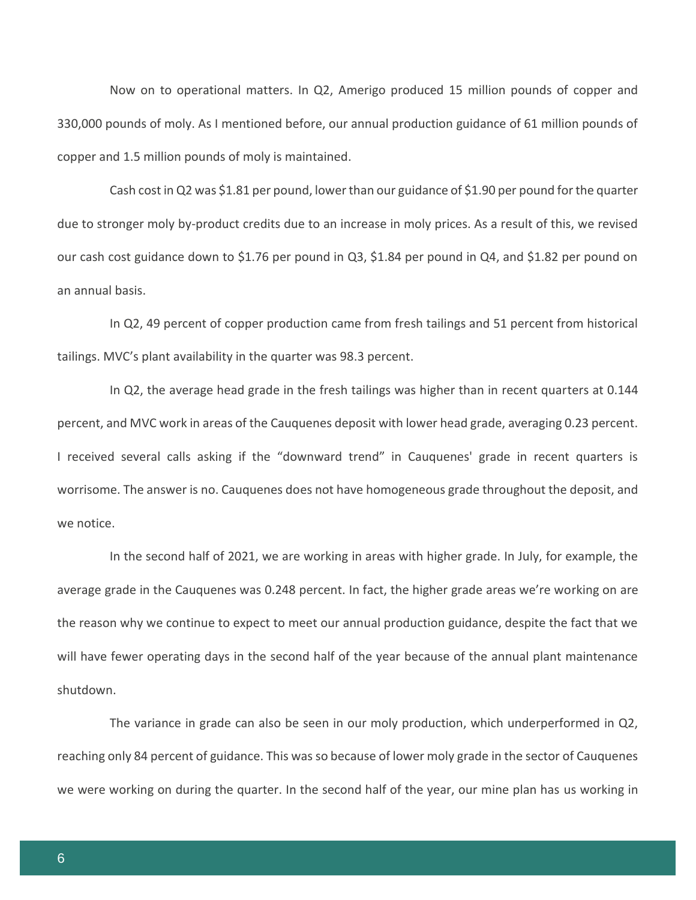Now on to operational matters. In Q2, Amerigo produced 15 million pounds of copper and 330,000 pounds of moly. As I mentioned before, our annual production guidance of 61 million pounds of copper and 1.5 million pounds of moly is maintained.

Cash cost in Q2 was \$1.81 per pound, lower than our guidance of \$1.90 per pound for the quarter due to stronger moly by-product credits due to an increase in moly prices. As a result of this, we revised our cash cost guidance down to \$1.76 per pound in Q3, \$1.84 per pound in Q4, and \$1.82 per pound on an annual basis.

In Q2, 49 percent of copper production came from fresh tailings and 51 percent from historical tailings. MVC's plant availability in the quarter was 98.3 percent.

In Q2, the average head grade in the fresh tailings was higher than in recent quarters at 0.144 percent, and MVC work in areas of the Cauquenes deposit with lower head grade, averaging 0.23 percent. I received several calls asking if the "downward trend" in Cauquenes' grade in recent quarters is worrisome. The answer is no. Cauquenes does not have homogeneous grade throughout the deposit, and we notice.

In the second half of 2021, we are working in areas with higher grade. In July, for example, the average grade in the Cauquenes was 0.248 percent. In fact, the higher grade areas we're working on are the reason why we continue to expect to meet our annual production guidance, despite the fact that we will have fewer operating days in the second half of the year because of the annual plant maintenance shutdown.

The variance in grade can also be seen in our moly production, which underperformed in Q2, reaching only 84 percent of guidance. This was so because of lower moly grade in the sector of Cauquenes we were working on during the quarter. In the second half of the year, our mine plan has us working in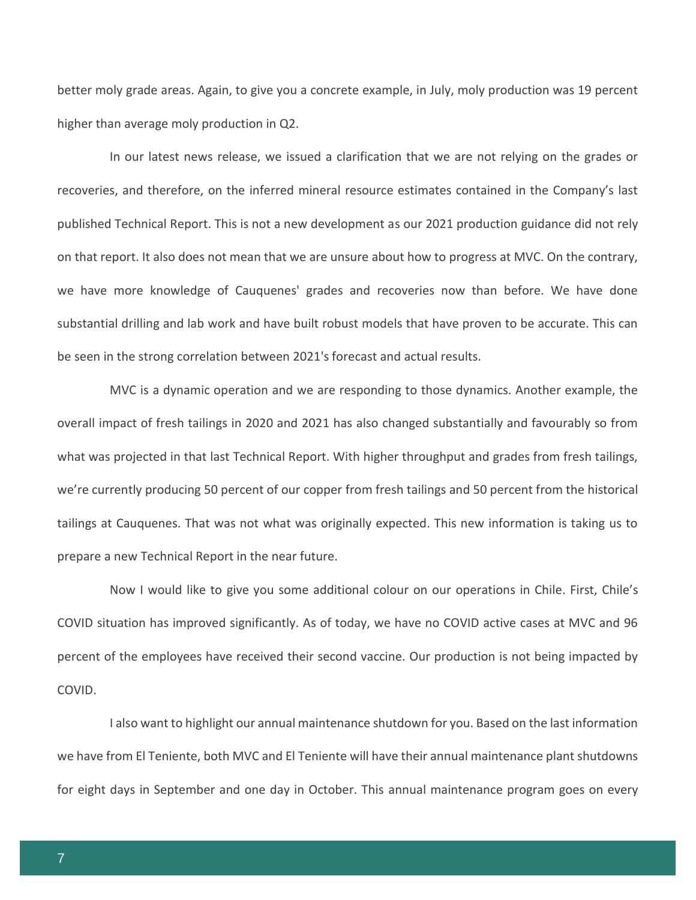better moly grade areas. Again, to give you a concrete example, in July, moly production was 19 percent higher than average moly production in Q2.

In our latest news release, we issued a clarification that we are not relying on the grades or recoveries, and therefore, on the inferred mineral resource estimates contained in the Company's last published Technical Report. This is not a new development as our 2021 production guidance did not rely on that report. It also does not mean that we are unsure about how to progress at MVC. On the contrary, we have more knowledge of Cauquenes' grades and recoveries now than before. We have done substantial drilling and lab work and have built robust models that have proven to be accurate. This can be seen in the strong correlation between 2021's forecast and actual results.

MVC is a dynamic operation and we are responding to those dynamics. Another example, the overall impact of fresh tailings in 2020 and 2021 has also changed substantially and favourably so from what was projected in that last Technical Report. With higher throughput and grades from fresh tailings, we're currently producing 50 percent of our copper from fresh tailings and 50 percent from the historical tailings at Cauquenes. That was not what was originally expected. This new information is taking us to prepare a new Technical Report in the near future.

Now I would like to give you some additional colour on our operations in Chile. First, Chile's COVID situation has improved significantly. As of today, we have no COVID active cases at MVC and 96 percent of the employees have received their second vaccine. Our production is not being impacted by COVID.

I also want to highlight our annual maintenance shutdown for you. Based on the last information we have from El Teniente, both MVC and El Teniente will have their annual maintenance plant shutdowns for eight days in September and one day in October. This annual maintenance program goes on every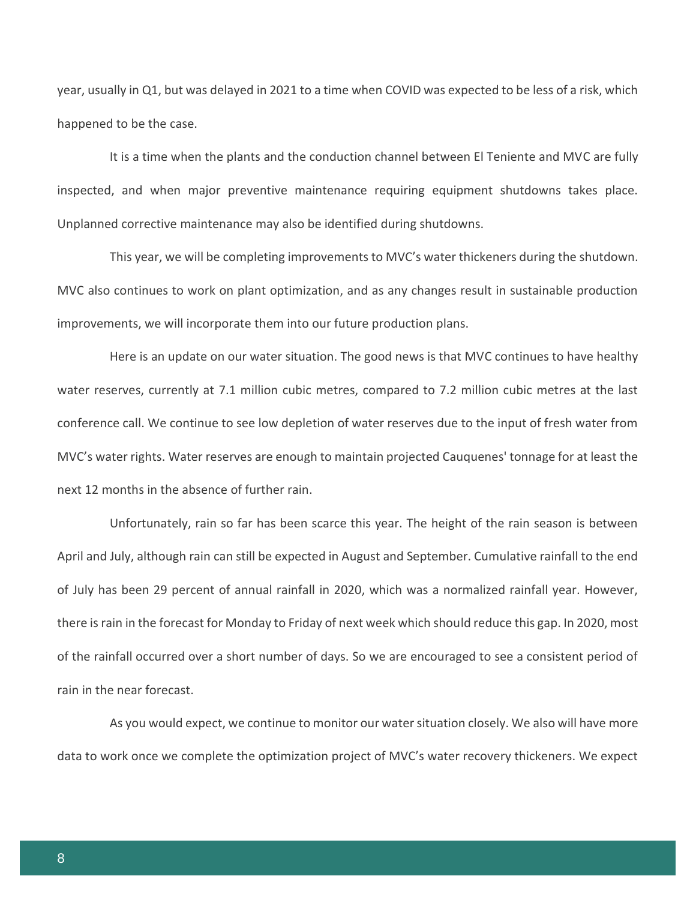year, usually in Q1, but was delayed in 2021 to a time when COVID was expected to be less of a risk, which happened to be the case.

It is a time when the plants and the conduction channel between El Teniente and MVC are fully inspected, and when major preventive maintenance requiring equipment shutdowns takes place. Unplanned corrective maintenance may also be identified during shutdowns.

This year, we will be completing improvements to MVC's water thickeners during the shutdown. MVC also continues to work on plant optimization, and as any changes result in sustainable production improvements, we will incorporate them into our future production plans.

Here is an update on our water situation. The good news is that MVC continues to have healthy water reserves, currently at 7.1 million cubic metres, compared to 7.2 million cubic metres at the last conference call. We continue to see low depletion of water reserves due to the input of fresh water from MVC's water rights. Water reserves are enough to maintain projected Cauquenes' tonnage for at least the next 12 months in the absence of further rain.

Unfortunately, rain so far has been scarce this year. The height of the rain season is between April and July, although rain can still be expected in August and September. Cumulative rainfall to the end of July has been 29 percent of annual rainfall in 2020, which was a normalized rainfall year. However, there is rain in the forecast for Monday to Friday of next week which should reduce this gap. In 2020, most of the rainfall occurred over a short number of days. So we are encouraged to see a consistent period of rain in the near forecast.

As you would expect, we continue to monitor our water situation closely. We also will have more data to work once we complete the optimization project of MVC's water recovery thickeners. We expect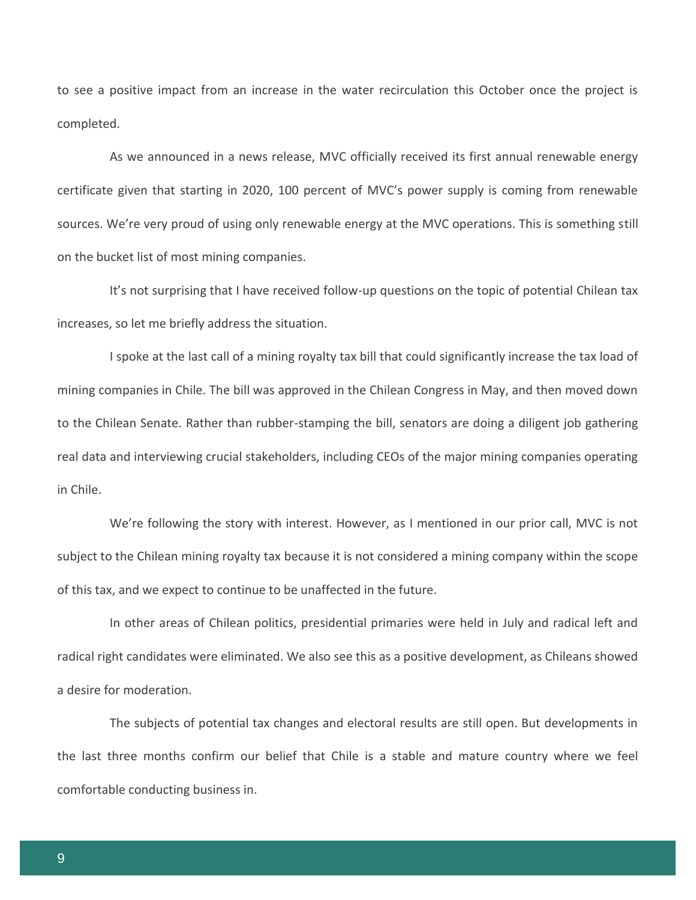to see a positive impact from an increase in the water recirculation this October once the project is completed.

As we announced in a news release, MVC officially received its first annual renewable energy certificate given that starting in 2020, 100 percent of MVC's power supply is coming from renewable sources. We're very proud of using only renewable energy at the MVC operations. This is something still on the bucket list of most mining companies.

It's not surprising that I have received follow-up questions on the topic of potential Chilean tax increases, so let me briefly address the situation.

I spoke at the last call of a mining royalty tax bill that could significantly increase the tax load of mining companies in Chile. The bill was approved in the Chilean Congress in May, and then moved down to the Chilean Senate. Rather than rubber-stamping the bill, senators are doing a diligent job gathering real data and interviewing crucial stakeholders, including CEOs of the major mining companies operating in Chile.

We're following the story with interest. However, as I mentioned in our prior call, MVC is not subject to the Chilean mining royalty tax because it is not considered a mining company within the scope of this tax, and we expect to continue to be unaffected in the future.

In other areas of Chilean politics, presidential primaries were held in July and radical left and radical right candidates were eliminated. We also see this as a positive development, as Chileans showed a desire for moderation.

The subjects of potential tax changes and electoral results are still open. But developments in the last three months confirm our belief that Chile is a stable and mature country where we feel comfortable conducting business in.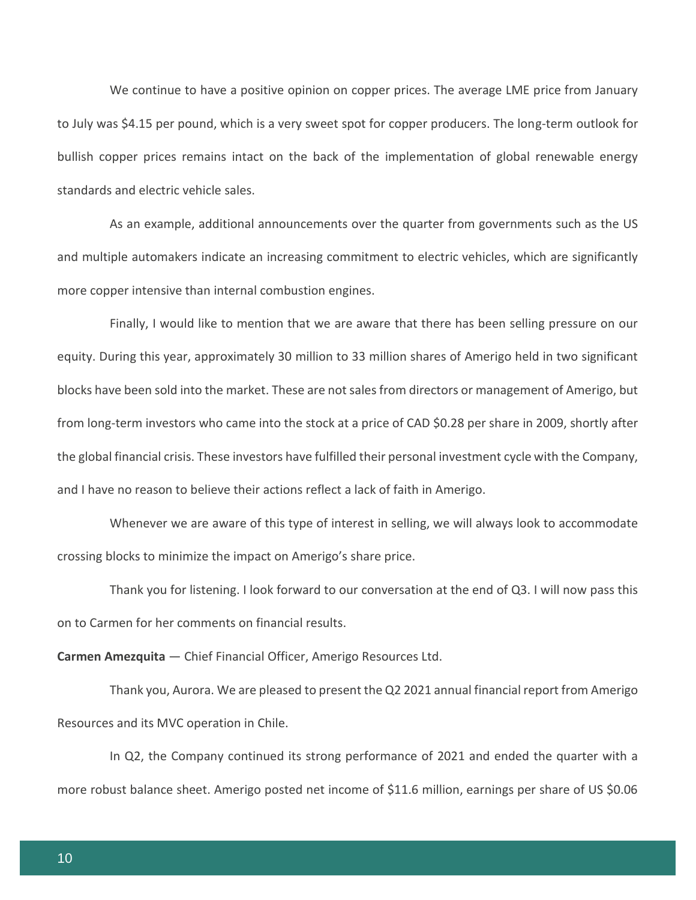We continue to have a positive opinion on copper prices. The average LME price from January to July was \$4.15 per pound, which is a very sweet spot for copper producers. The long-term outlook for bullish copper prices remains intact on the back of the implementation of global renewable energy standards and electric vehicle sales.

As an example, additional announcements over the quarter from governments such as the US and multiple automakers indicate an increasing commitment to electric vehicles, which are significantly more copper intensive than internal combustion engines.

Finally, I would like to mention that we are aware that there has been selling pressure on our equity. During this year, approximately 30 million to 33 million shares of Amerigo held in two significant blocks have been sold into the market. These are not sales from directors or management of Amerigo, but from long-term investors who came into the stock at a price of CAD \$0.28 per share in 2009, shortly after the global financial crisis. These investors have fulfilled their personal investment cycle with the Company, and I have no reason to believe their actions reflect a lack of faith in Amerigo.

Whenever we are aware of this type of interest in selling, we will always look to accommodate crossing blocks to minimize the impact on Amerigo's share price.

Thank you for listening. I look forward to our conversation at the end of Q3. I will now pass this on to Carmen for her comments on financial results.

**Carmen Amezquita** — Chief Financial Officer, Amerigo Resources Ltd.

Thank you, Aurora. We are pleased to present the Q2 2021 annual financial report from Amerigo Resources and its MVC operation in Chile.

In Q2, the Company continued its strong performance of 2021 and ended the quarter with a more robust balance sheet. Amerigo posted net income of \$11.6 million, earnings per share of US \$0.06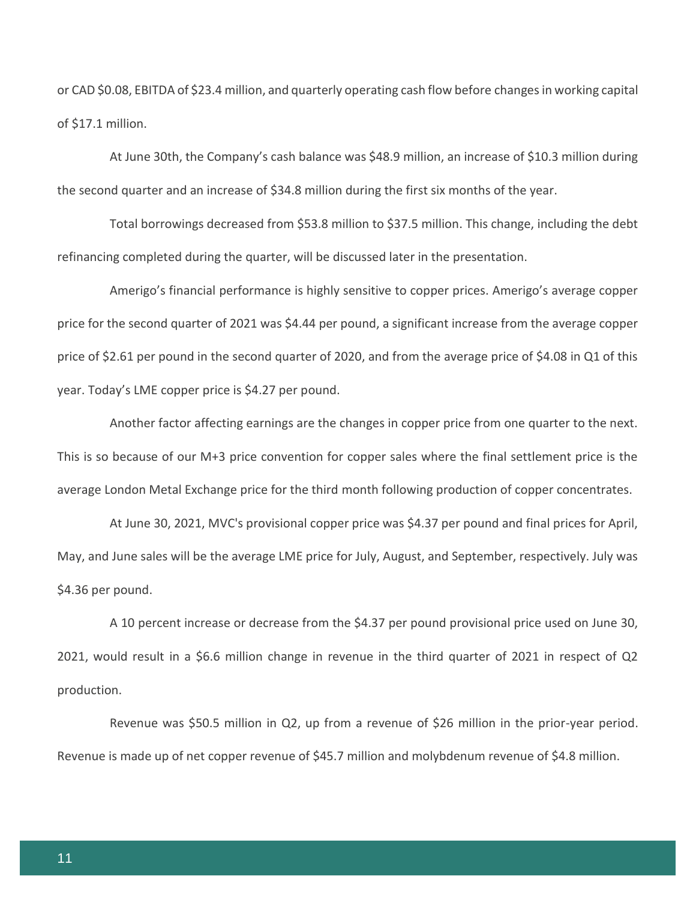or CAD \$0.08, EBITDA of \$23.4 million, and quarterly operating cash flow before changes in working capital of \$17.1 million.

At June 30th, the Company's cash balance was \$48.9 million, an increase of \$10.3 million during the second quarter and an increase of \$34.8 million during the first six months of the year.

Total borrowings decreased from \$53.8 million to \$37.5 million. This change, including the debt refinancing completed during the quarter, will be discussed later in the presentation.

Amerigo's financial performance is highly sensitive to copper prices. Amerigo's average copper price for the second quarter of 2021 was \$4.44 per pound, a significant increase from the average copper price of \$2.61 per pound in the second quarter of 2020, and from the average price of \$4.08 in Q1 of this year. Today's LME copper price is \$4.27 per pound.

Another factor affecting earnings are the changes in copper price from one quarter to the next. This is so because of our M+3 price convention for copper sales where the final settlement price is the average London Metal Exchange price for the third month following production of copper concentrates.

At June 30, 2021, MVC's provisional copper price was \$4.37 per pound and final prices for April, May, and June sales will be the average LME price for July, August, and September, respectively. July was \$4.36 per pound.

A 10 percent increase or decrease from the \$4.37 per pound provisional price used on June 30, 2021, would result in a \$6.6 million change in revenue in the third quarter of 2021 in respect of Q2 production.

Revenue was \$50.5 million in Q2, up from a revenue of \$26 million in the prior-year period. Revenue is made up of net copper revenue of \$45.7 million and molybdenum revenue of \$4.8 million.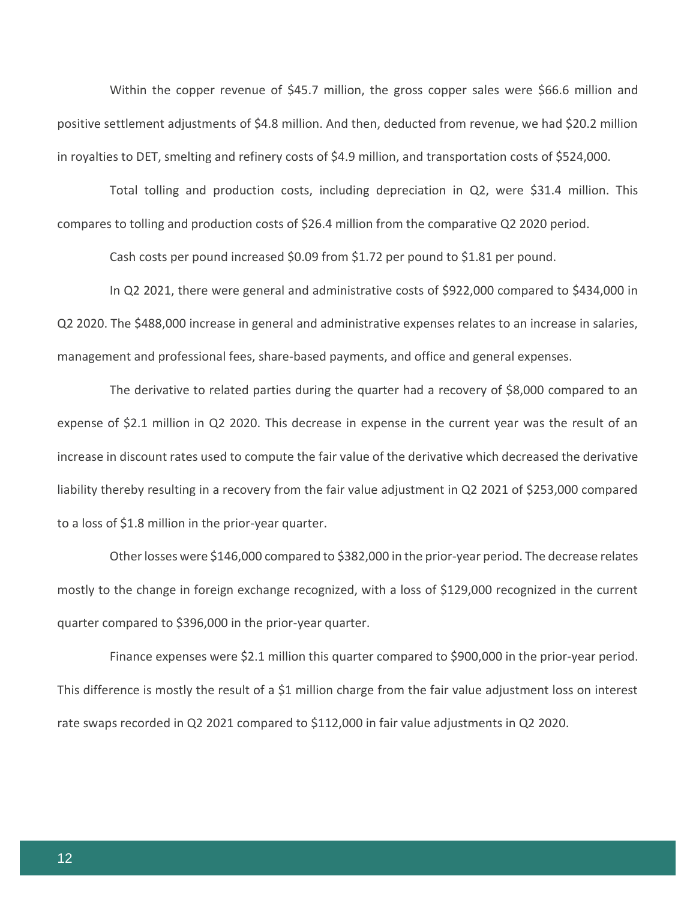Within the copper revenue of \$45.7 million, the gross copper sales were \$66.6 million and positive settlement adjustments of \$4.8 million. And then, deducted from revenue, we had \$20.2 million in royalties to DET, smelting and refinery costs of \$4.9 million, and transportation costs of \$524,000.

Total tolling and production costs, including depreciation in Q2, were \$31.4 million. This compares to tolling and production costs of \$26.4 million from the comparative Q2 2020 period.

Cash costs per pound increased \$0.09 from \$1.72 per pound to \$1.81 per pound.

In Q2 2021, there were general and administrative costs of \$922,000 compared to \$434,000 in Q2 2020. The \$488,000 increase in general and administrative expenses relates to an increase in salaries, management and professional fees, share-based payments, and office and general expenses.

The derivative to related parties during the quarter had a recovery of \$8,000 compared to an expense of \$2.1 million in Q2 2020. This decrease in expense in the current year was the result of an increase in discount rates used to compute the fair value of the derivative which decreased the derivative liability thereby resulting in a recovery from the fair value adjustment in Q2 2021 of \$253,000 compared to a loss of \$1.8 million in the prior-year quarter.

Other losses were \$146,000 compared to \$382,000 in the prior-year period. The decrease relates mostly to the change in foreign exchange recognized, with a loss of \$129,000 recognized in the current quarter compared to \$396,000 in the prior-year quarter.

Finance expenses were \$2.1 million this quarter compared to \$900,000 in the prior-year period. This difference is mostly the result of a \$1 million charge from the fair value adjustment loss on interest rate swaps recorded in Q2 2021 compared to \$112,000 in fair value adjustments in Q2 2020.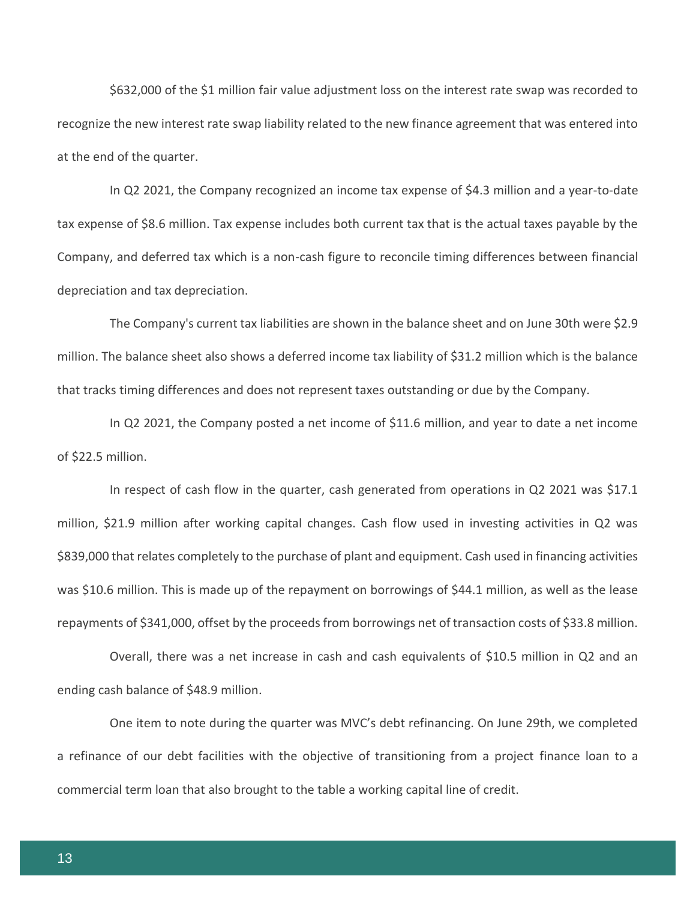\$632,000 of the \$1 million fair value adjustment loss on the interest rate swap was recorded to recognize the new interest rate swap liability related to the new finance agreement that was entered into at the end of the quarter.

In Q2 2021, the Company recognized an income tax expense of \$4.3 million and a year-to-date tax expense of \$8.6 million. Tax expense includes both current tax that is the actual taxes payable by the Company, and deferred tax which is a non-cash figure to reconcile timing differences between financial depreciation and tax depreciation.

The Company's current tax liabilities are shown in the balance sheet and on June 30th were \$2.9 million. The balance sheet also shows a deferred income tax liability of \$31.2 million which is the balance that tracks timing differences and does not represent taxes outstanding or due by the Company.

In Q2 2021, the Company posted a net income of \$11.6 million, and year to date a net income of \$22.5 million.

In respect of cash flow in the quarter, cash generated from operations in Q2 2021 was \$17.1 million, \$21.9 million after working capital changes. Cash flow used in investing activities in Q2 was \$839,000 that relates completely to the purchase of plant and equipment. Cash used in financing activities was \$10.6 million. This is made up of the repayment on borrowings of \$44.1 million, as well as the lease repayments of \$341,000, offset by the proceeds from borrowings net of transaction costs of \$33.8 million.

Overall, there was a net increase in cash and cash equivalents of \$10.5 million in Q2 and an ending cash balance of \$48.9 million.

One item to note during the quarter was MVC's debt refinancing. On June 29th, we completed a refinance of our debt facilities with the objective of transitioning from a project finance loan to a commercial term loan that also brought to the table a working capital line of credit.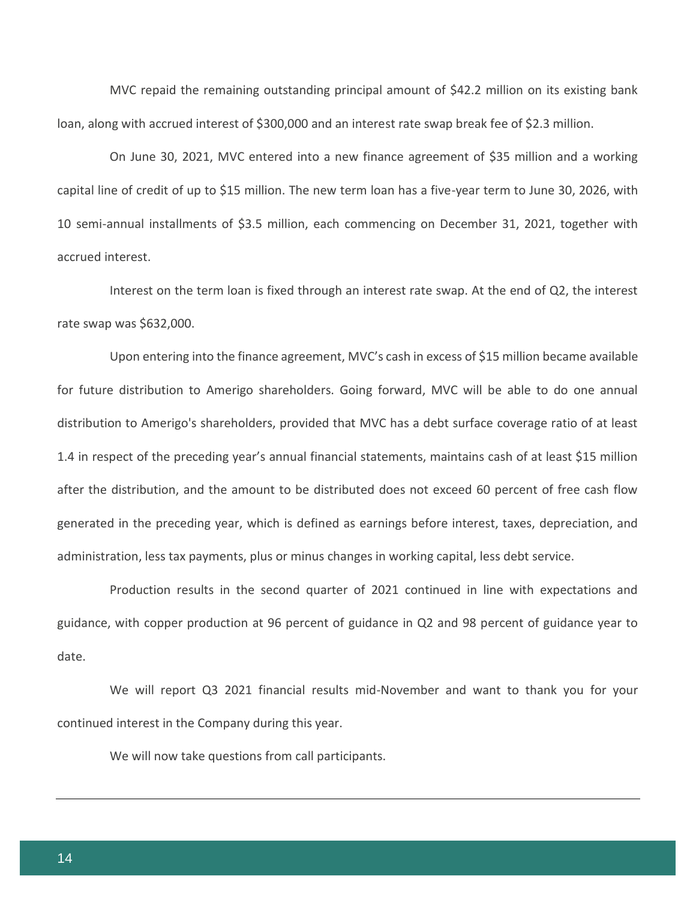MVC repaid the remaining outstanding principal amount of \$42.2 million on its existing bank loan, along with accrued interest of \$300,000 and an interest rate swap break fee of \$2.3 million.

On June 30, 2021, MVC entered into a new finance agreement of \$35 million and a working capital line of credit of up to \$15 million. The new term loan has a five-year term to June 30, 2026, with 10 semi-annual installments of \$3.5 million, each commencing on December 31, 2021, together with accrued interest.

Interest on the term loan is fixed through an interest rate swap. At the end of Q2, the interest rate swap was \$632,000.

Upon entering into the finance agreement, MVC's cash in excess of \$15 million became available for future distribution to Amerigo shareholders. Going forward, MVC will be able to do one annual distribution to Amerigo's shareholders, provided that MVC has a debt surface coverage ratio of at least 1.4 in respect of the preceding year's annual financial statements, maintains cash of at least \$15 million after the distribution, and the amount to be distributed does not exceed 60 percent of free cash flow generated in the preceding year, which is defined as earnings before interest, taxes, depreciation, and administration, less tax payments, plus or minus changes in working capital, less debt service.

Production results in the second quarter of 2021 continued in line with expectations and guidance, with copper production at 96 percent of guidance in Q2 and 98 percent of guidance year to date.

We will report Q3 2021 financial results mid-November and want to thank you for your continued interest in the Company during this year.

We will now take questions from call participants.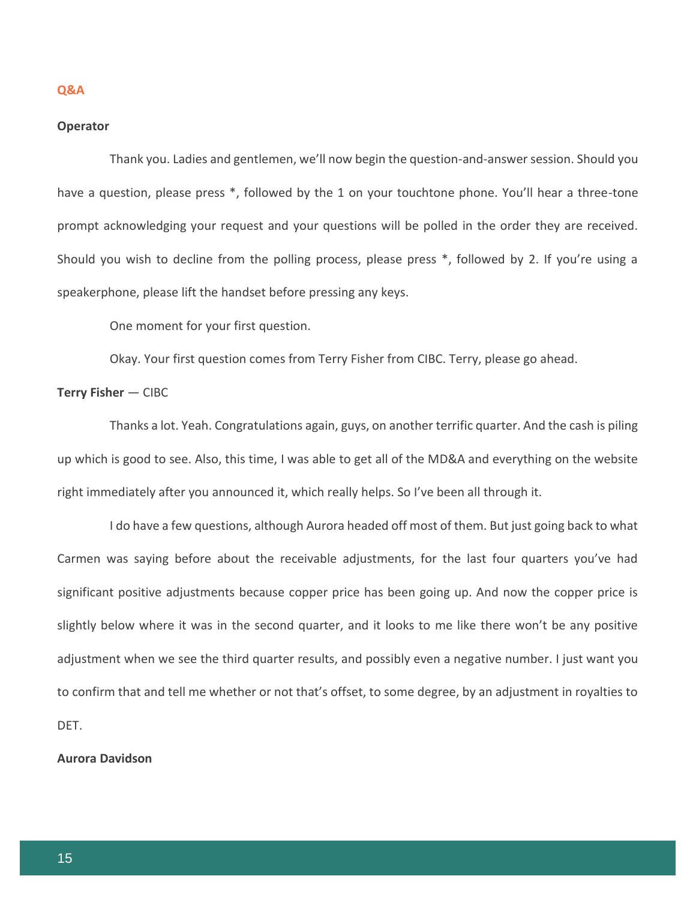#### **Q&A**

#### **Operator**

Thank you. Ladies and gentlemen, we'll now begin the question-and-answer session. Should you have a question, please press \*, followed by the 1 on your touchtone phone. You'll hear a three-tone prompt acknowledging your request and your questions will be polled in the order they are received. Should you wish to decline from the polling process, please press \*, followed by 2. If you're using a speakerphone, please lift the handset before pressing any keys.

One moment for your first question.

Okay. Your first question comes from Terry Fisher from CIBC. Terry, please go ahead.

#### **Terry Fisher** — CIBC

Thanks a lot. Yeah. Congratulations again, guys, on another terrific quarter. And the cash is piling up which is good to see. Also, this time, I was able to get all of the MD&A and everything on the website right immediately after you announced it, which really helps. So I've been all through it.

I do have a few questions, although Aurora headed off most of them. But just going back to what Carmen was saying before about the receivable adjustments, for the last four quarters you've had significant positive adjustments because copper price has been going up. And now the copper price is slightly below where it was in the second quarter, and it looks to me like there won't be any positive adjustment when we see the third quarter results, and possibly even a negative number. I just want you to confirm that and tell me whether or not that's offset, to some degree, by an adjustment in royalties to DET.

## **Aurora Davidson**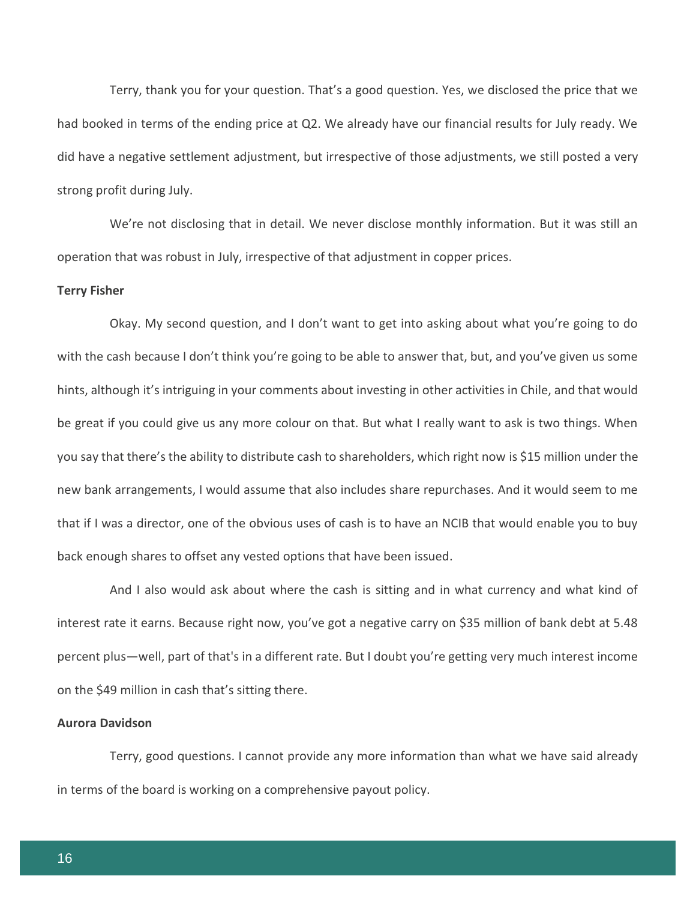Terry, thank you for your question. That's a good question. Yes, we disclosed the price that we had booked in terms of the ending price at Q2. We already have our financial results for July ready. We did have a negative settlement adjustment, but irrespective of those adjustments, we still posted a very strong profit during July.

We're not disclosing that in detail. We never disclose monthly information. But it was still an operation that was robust in July, irrespective of that adjustment in copper prices.

#### **Terry Fisher**

Okay. My second question, and I don't want to get into asking about what you're going to do with the cash because I don't think you're going to be able to answer that, but, and you've given us some hints, although it's intriguing in your comments about investing in other activities in Chile, and that would be great if you could give us any more colour on that. But what I really want to ask is two things. When you say that there's the ability to distribute cash to shareholders, which right now is \$15 million under the new bank arrangements, I would assume that also includes share repurchases. And it would seem to me that if I was a director, one of the obvious uses of cash is to have an NCIB that would enable you to buy back enough shares to offset any vested options that have been issued.

And I also would ask about where the cash is sitting and in what currency and what kind of interest rate it earns. Because right now, you've got a negative carry on \$35 million of bank debt at 5.48 percent plus—well, part of that's in a different rate. But I doubt you're getting very much interest income on the \$49 million in cash that's sitting there.

#### **Aurora Davidson**

Terry, good questions. I cannot provide any more information than what we have said already in terms of the board is working on a comprehensive payout policy.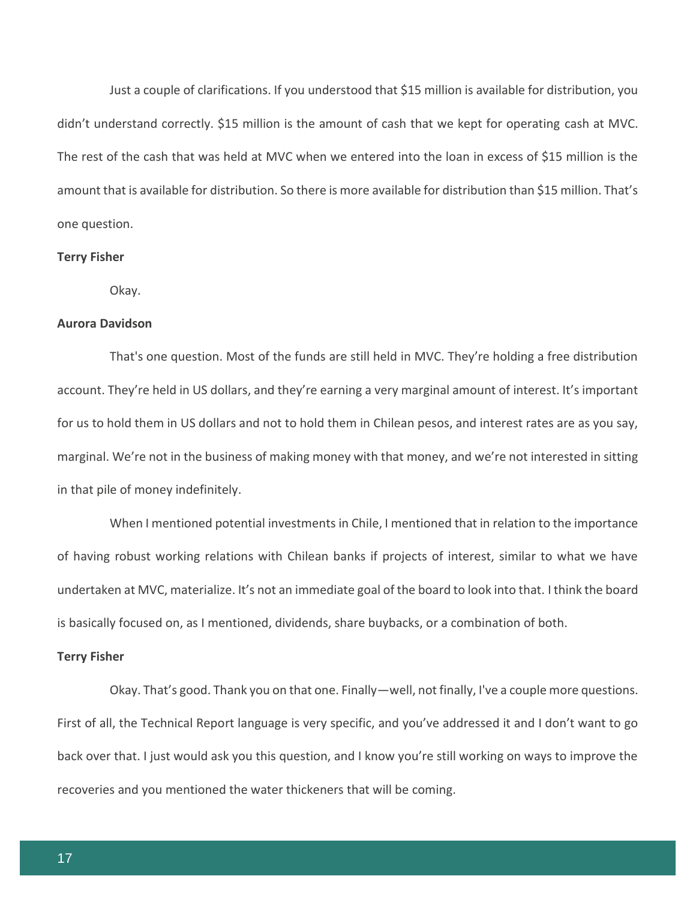Just a couple of clarifications. If you understood that \$15 million is available for distribution, you didn't understand correctly. \$15 million is the amount of cash that we kept for operating cash at MVC. The rest of the cash that was held at MVC when we entered into the loan in excess of \$15 million is the amount that is available for distribution. So there is more available for distribution than \$15 million. That's one question.

#### **Terry Fisher**

Okay.

#### **Aurora Davidson**

That's one question. Most of the funds are still held in MVC. They're holding a free distribution account. They're held in US dollars, and they're earning a very marginal amount of interest. It's important for us to hold them in US dollars and not to hold them in Chilean pesos, and interest rates are as you say, marginal. We're not in the business of making money with that money, and we're not interested in sitting in that pile of money indefinitely.

When I mentioned potential investments in Chile, I mentioned that in relation to the importance of having robust working relations with Chilean banks if projects of interest, similar to what we have undertaken at MVC, materialize. It's not an immediate goal of the board to look into that. I think the board is basically focused on, as I mentioned, dividends, share buybacks, or a combination of both.

#### **Terry Fisher**

Okay. That's good. Thank you on that one. Finally—well, not finally, I've a couple more questions. First of all, the Technical Report language is very specific, and you've addressed it and I don't want to go back over that. I just would ask you this question, and I know you're still working on ways to improve the recoveries and you mentioned the water thickeners that will be coming.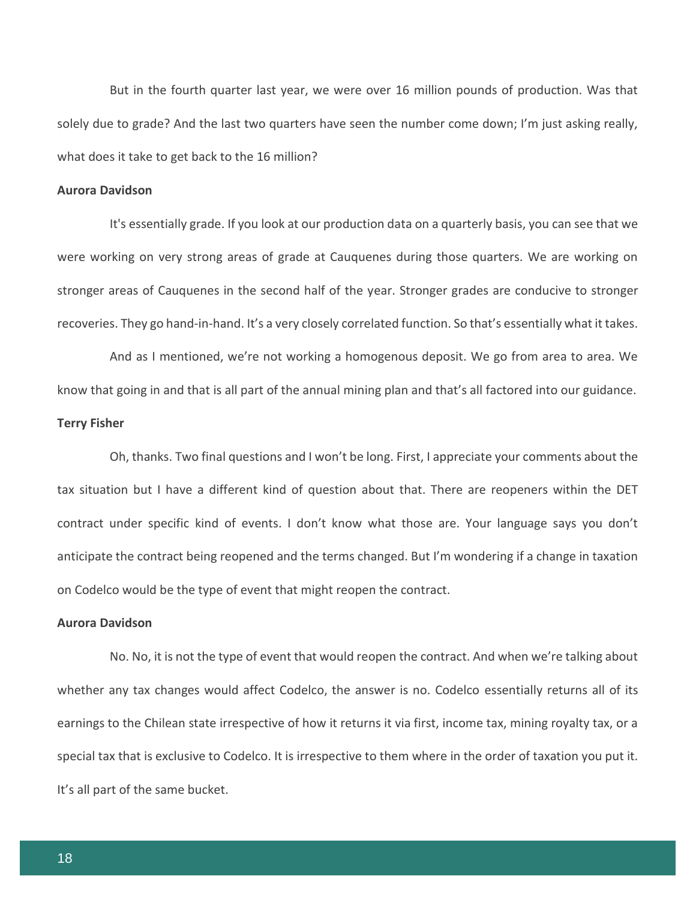But in the fourth quarter last year, we were over 16 million pounds of production. Was that solely due to grade? And the last two quarters have seen the number come down; I'm just asking really, what does it take to get back to the 16 million?

#### **Aurora Davidson**

It's essentially grade. If you look at our production data on a quarterly basis, you can see that we were working on very strong areas of grade at Cauquenes during those quarters. We are working on stronger areas of Cauquenes in the second half of the year. Stronger grades are conducive to stronger recoveries. They go hand-in-hand. It's a very closely correlated function. So that's essentially what it takes.

And as I mentioned, we're not working a homogenous deposit. We go from area to area. We know that going in and that is all part of the annual mining plan and that's all factored into our guidance. **Terry Fisher**

Oh, thanks. Two final questions and I won't be long. First, I appreciate your comments about the tax situation but I have a different kind of question about that. There are reopeners within the DET contract under specific kind of events. I don't know what those are. Your language says you don't anticipate the contract being reopened and the terms changed. But I'm wondering if a change in taxation on Codelco would be the type of event that might reopen the contract.

#### **Aurora Davidson**

No. No, it is not the type of event that would reopen the contract. And when we're talking about whether any tax changes would affect Codelco, the answer is no. Codelco essentially returns all of its earnings to the Chilean state irrespective of how it returns it via first, income tax, mining royalty tax, or a special tax that is exclusive to Codelco. It is irrespective to them where in the order of taxation you put it. It's all part of the same bucket.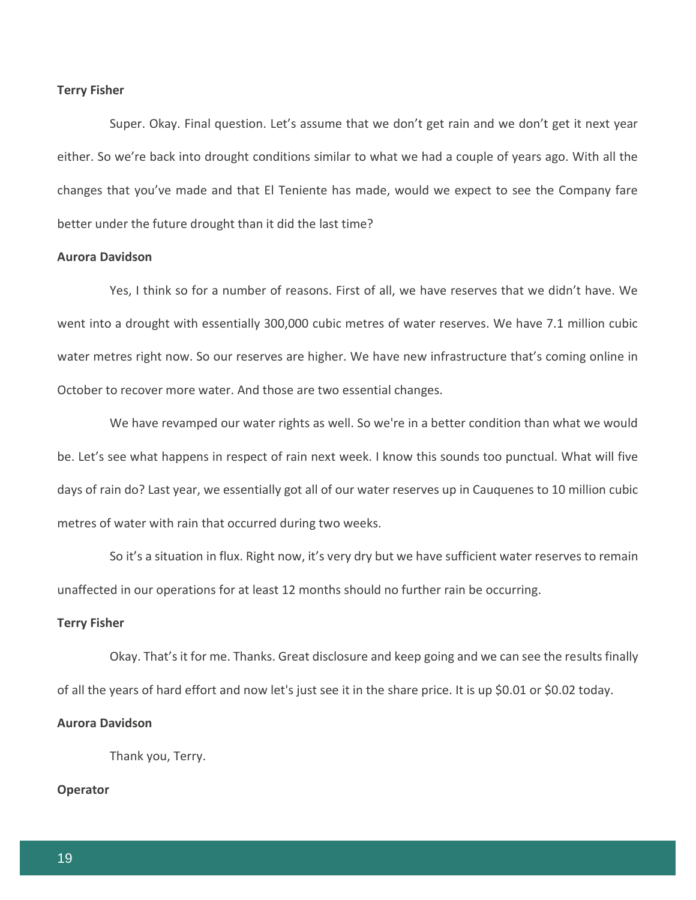#### **Terry Fisher**

Super. Okay. Final question. Let's assume that we don't get rain and we don't get it next year either. So we're back into drought conditions similar to what we had a couple of years ago. With all the changes that you've made and that El Teniente has made, would we expect to see the Company fare better under the future drought than it did the last time?

## **Aurora Davidson**

Yes, I think so for a number of reasons. First of all, we have reserves that we didn't have. We went into a drought with essentially 300,000 cubic metres of water reserves. We have 7.1 million cubic water metres right now. So our reserves are higher. We have new infrastructure that's coming online in October to recover more water. And those are two essential changes.

We have revamped our water rights as well. So we're in a better condition than what we would be. Let's see what happens in respect of rain next week. I know this sounds too punctual. What will five days of rain do? Last year, we essentially got all of our water reserves up in Cauquenes to 10 million cubic metres of water with rain that occurred during two weeks.

So it's a situation in flux. Right now, it's very dry but we have sufficient water reserves to remain unaffected in our operations for at least 12 months should no further rain be occurring.

#### **Terry Fisher**

Okay. That's it for me. Thanks. Great disclosure and keep going and we can see the results finally of all the years of hard effort and now let's just see it in the share price. It is up \$0.01 or \$0.02 today.

#### **Aurora Davidson**

Thank you, Terry.

## **Operator**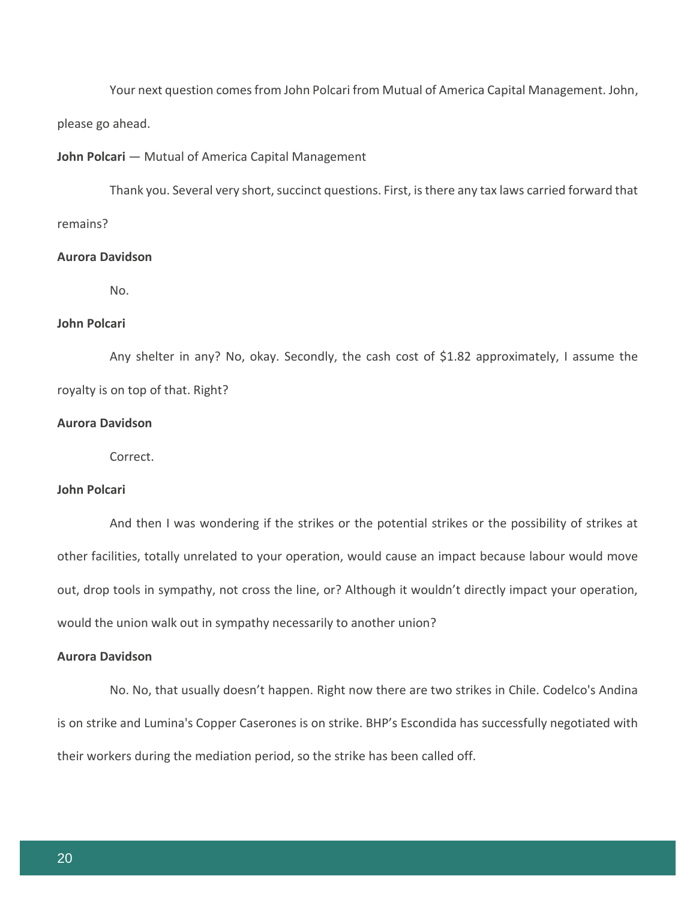Your next question comes from John Polcari from Mutual of America Capital Management. John, please go ahead.

## **John Polcari** — Mutual of America Capital Management

Thank you. Several very short, succinct questions. First, is there any tax laws carried forward that remains?

## **Aurora Davidson**

No.

# **John Polcari**

Any shelter in any? No, okay. Secondly, the cash cost of \$1.82 approximately, I assume the royalty is on top of that. Right?

#### **Aurora Davidson**

Correct.

## **John Polcari**

And then I was wondering if the strikes or the potential strikes or the possibility of strikes at other facilities, totally unrelated to your operation, would cause an impact because labour would move out, drop tools in sympathy, not cross the line, or? Although it wouldn't directly impact your operation, would the union walk out in sympathy necessarily to another union?

## **Aurora Davidson**

No. No, that usually doesn't happen. Right now there are two strikes in Chile. Codelco's Andina is on strike and Lumina's Copper Caserones is on strike. BHP's Escondida has successfully negotiated with their workers during the mediation period, so the strike has been called off.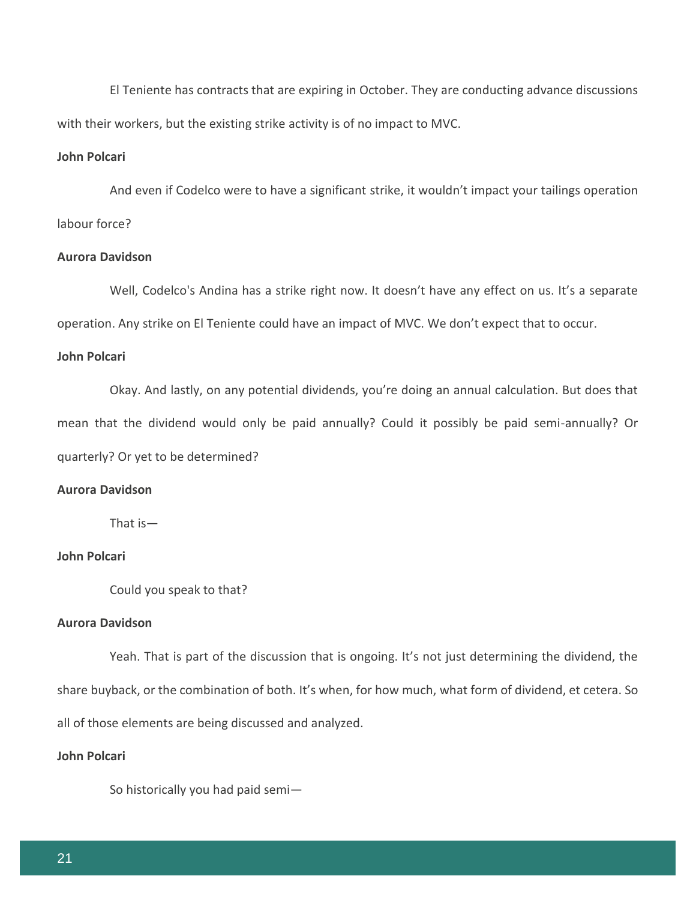El Teniente has contracts that are expiring in October. They are conducting advance discussions with their workers, but the existing strike activity is of no impact to MVC.

# **John Polcari**

And even if Codelco were to have a significant strike, it wouldn't impact your tailings operation labour force?

## **Aurora Davidson**

Well, Codelco's Andina has a strike right now. It doesn't have any effect on us. It's a separate operation. Any strike on El Teniente could have an impact of MVC. We don't expect that to occur.

## **John Polcari**

Okay. And lastly, on any potential dividends, you're doing an annual calculation. But does that mean that the dividend would only be paid annually? Could it possibly be paid semi-annually? Or quarterly? Or yet to be determined?

## **Aurora Davidson**

That is—

# **John Polcari**

Could you speak to that?

#### **Aurora Davidson**

Yeah. That is part of the discussion that is ongoing. It's not just determining the dividend, the share buyback, or the combination of both. It's when, for how much, what form of dividend, et cetera. So all of those elements are being discussed and analyzed.

## **John Polcari**

So historically you had paid semi—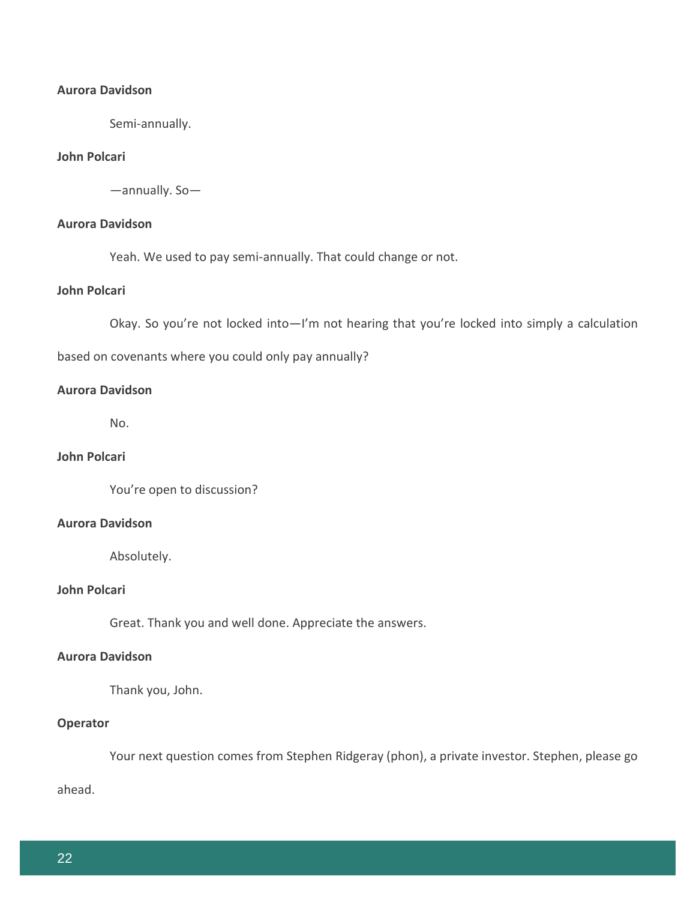# **Aurora Davidson**

Semi-annually.

## **John Polcari**

—annually. So—

# **Aurora Davidson**

Yeah. We used to pay semi-annually. That could change or not.

# **John Polcari**

Okay. So you're not locked into—I'm not hearing that you're locked into simply a calculation

based on covenants where you could only pay annually?

## **Aurora Davidson**

No.

# **John Polcari**

You're open to discussion?

## **Aurora Davidson**

Absolutely.

# **John Polcari**

Great. Thank you and well done. Appreciate the answers.

## **Aurora Davidson**

Thank you, John.

# **Operator**

Your next question comes from Stephen Ridgeray (phon), a private investor. Stephen, please go

ahead.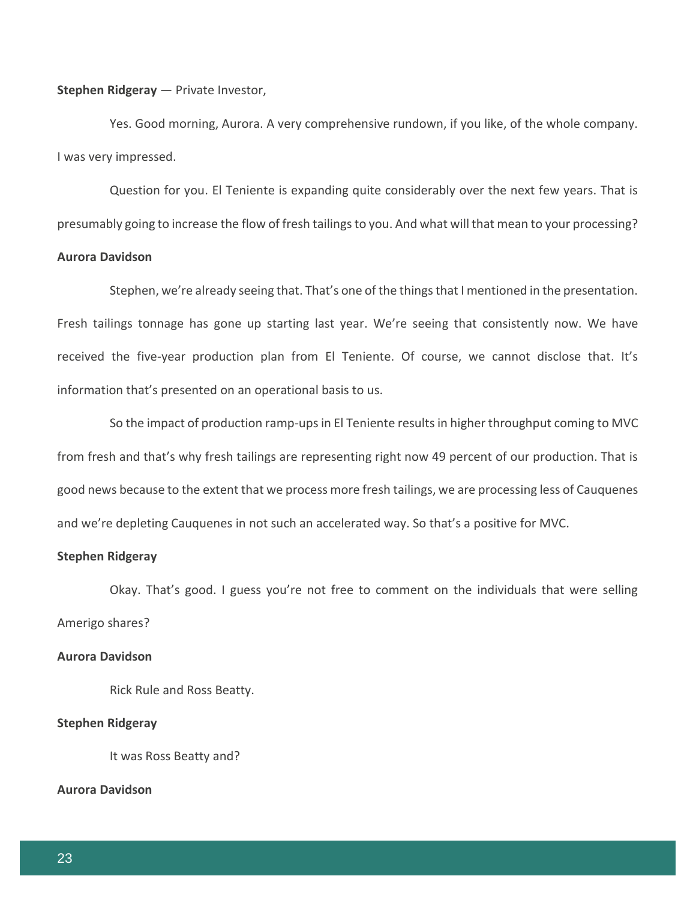**Stephen Ridgeray** — Private Investor,

Yes. Good morning, Aurora. A very comprehensive rundown, if you like, of the whole company. I was very impressed.

Question for you. El Teniente is expanding quite considerably over the next few years. That is presumably going to increase the flow of fresh tailings to you. And what will that mean to your processing?

## **Aurora Davidson**

Stephen, we're already seeing that. That's one of the things that I mentioned in the presentation. Fresh tailings tonnage has gone up starting last year. We're seeing that consistently now. We have received the five-year production plan from El Teniente. Of course, we cannot disclose that. It's information that's presented on an operational basis to us.

So the impact of production ramp-ups in El Teniente results in higher throughput coming to MVC from fresh and that's why fresh tailings are representing right now 49 percent of our production. That is good news because to the extent that we process more fresh tailings, we are processing less of Cauquenes and we're depleting Cauquenes in not such an accelerated way. So that's a positive for MVC.

## **Stephen Ridgeray**

Okay. That's good. I guess you're not free to comment on the individuals that were selling Amerigo shares?

## **Aurora Davidson**

Rick Rule and Ross Beatty.

#### **Stephen Ridgeray**

It was Ross Beatty and?

## **Aurora Davidson**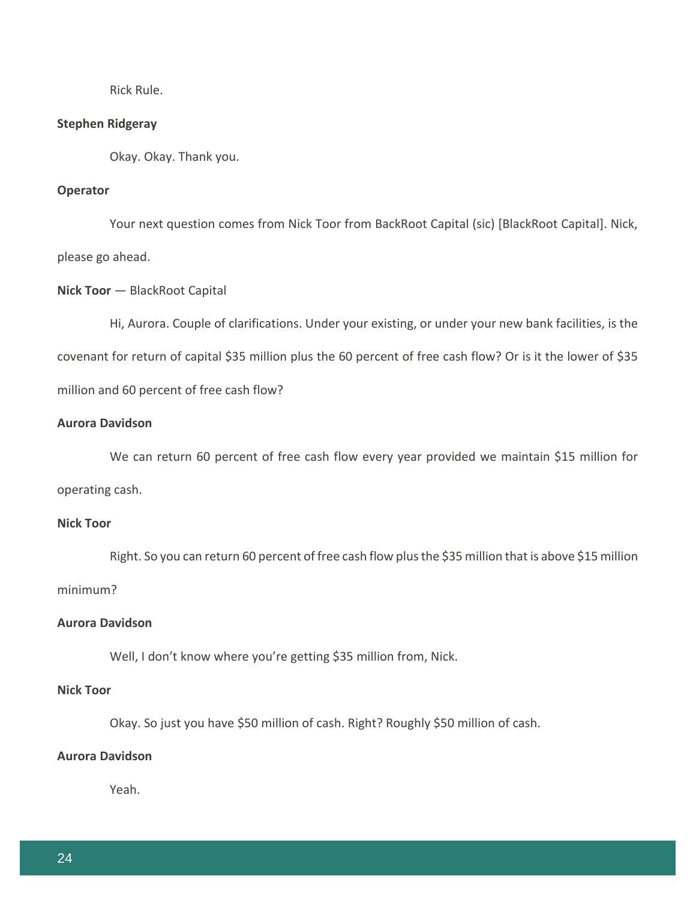Rick Rule.

#### **Stephen Ridgeray**

Okay. Okay. Thank you.

## **Operator**

Your next question comes from Nick Toor from BackRoot Capital (sic) [BlackRoot Capital]. Nick, please go ahead.

## **Nick Toor** — BlackRoot Capital

Hi, Aurora. Couple of clarifications. Under your existing, or under your new bank facilities, is the covenant for return of capital \$35 million plus the 60 percent of free cash flow? Or is it the lower of \$35 million and 60 percent of free cash flow?

## **Aurora Davidson**

We can return 60 percent of free cash flow every year provided we maintain \$15 million for operating cash.

## **Nick Toor**

Right. So you can return 60 percent of free cash flow plus the \$35 million that is above \$15 million minimum?

# **Aurora Davidson**

Well, I don't know where you're getting \$35 million from, Nick.

## **Nick Toor**

Okay. So just you have \$50 million of cash. Right? Roughly \$50 million of cash.

# **Aurora Davidson**

Yeah.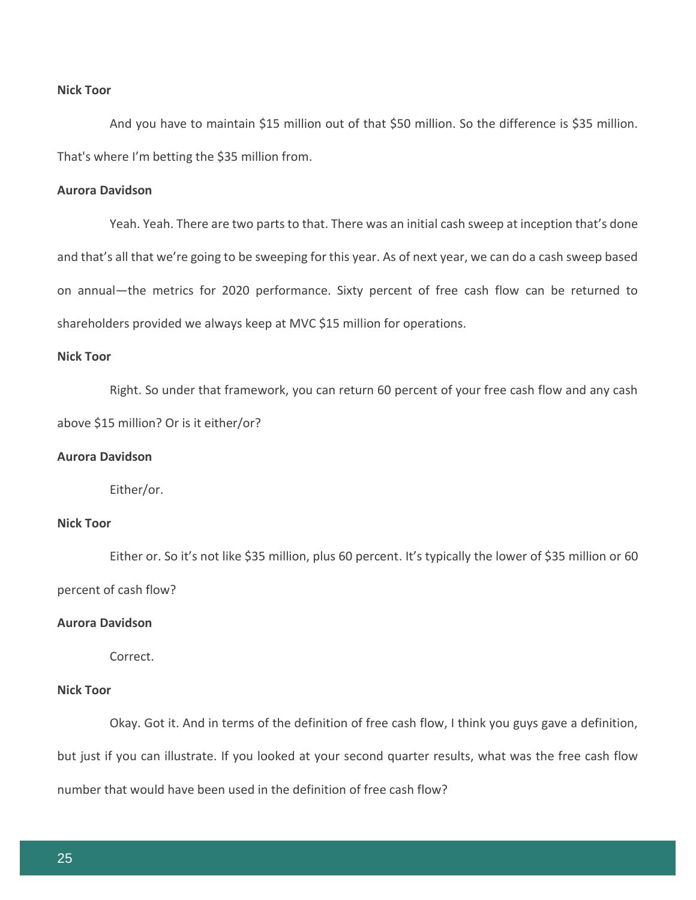## **Nick Toor**

And you have to maintain \$15 million out of that \$50 million. So the difference is \$35 million. That's where I'm betting the \$35 million from.

## **Aurora Davidson**

Yeah. Yeah. There are two parts to that. There was an initial cash sweep at inception that's done and that's all that we're going to be sweeping for this year. As of next year, we can do a cash sweep based on annual—the metrics for 2020 performance. Sixty percent of free cash flow can be returned to shareholders provided we always keep at MVC \$15 million for operations.

## **Nick Toor**

Right. So under that framework, you can return 60 percent of your free cash flow and any cash above \$15 million? Or is it either/or?

# **Aurora Davidson**

Either/or.

## **Nick Toor**

Either or. So it's not like \$35 million, plus 60 percent. It's typically the lower of \$35 million or 60 percent of cash flow?

## **Aurora Davidson**

Correct.

# **Nick Toor**

Okay. Got it. And in terms of the definition of free cash flow, I think you guys gave a definition, but just if you can illustrate. If you looked at your second quarter results, what was the free cash flow number that would have been used in the definition of free cash flow?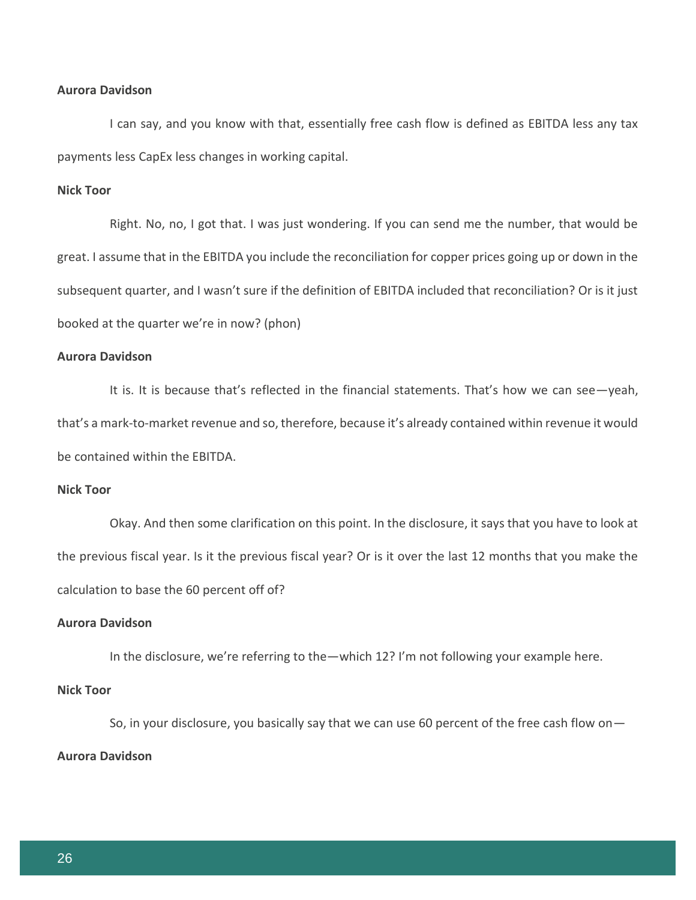## **Aurora Davidson**

I can say, and you know with that, essentially free cash flow is defined as EBITDA less any tax payments less CapEx less changes in working capital.

## **Nick Toor**

Right. No, no, I got that. I was just wondering. If you can send me the number, that would be great. I assume that in the EBITDA you include the reconciliation for copper prices going up or down in the subsequent quarter, and I wasn't sure if the definition of EBITDA included that reconciliation? Or is it just booked at the quarter we're in now? (phon)

## **Aurora Davidson**

It is. It is because that's reflected in the financial statements. That's how we can see—yeah, that's a mark-to-market revenue and so, therefore, because it's already contained within revenue it would be contained within the EBITDA.

## **Nick Toor**

Okay. And then some clarification on this point. In the disclosure, it says that you have to look at the previous fiscal year. Is it the previous fiscal year? Or is it over the last 12 months that you make the calculation to base the 60 percent off of?

#### **Aurora Davidson**

In the disclosure, we're referring to the—which 12? I'm not following your example here.

## **Nick Toor**

So, in your disclosure, you basically say that we can use 60 percent of the free cash flow on— **Aurora Davidson**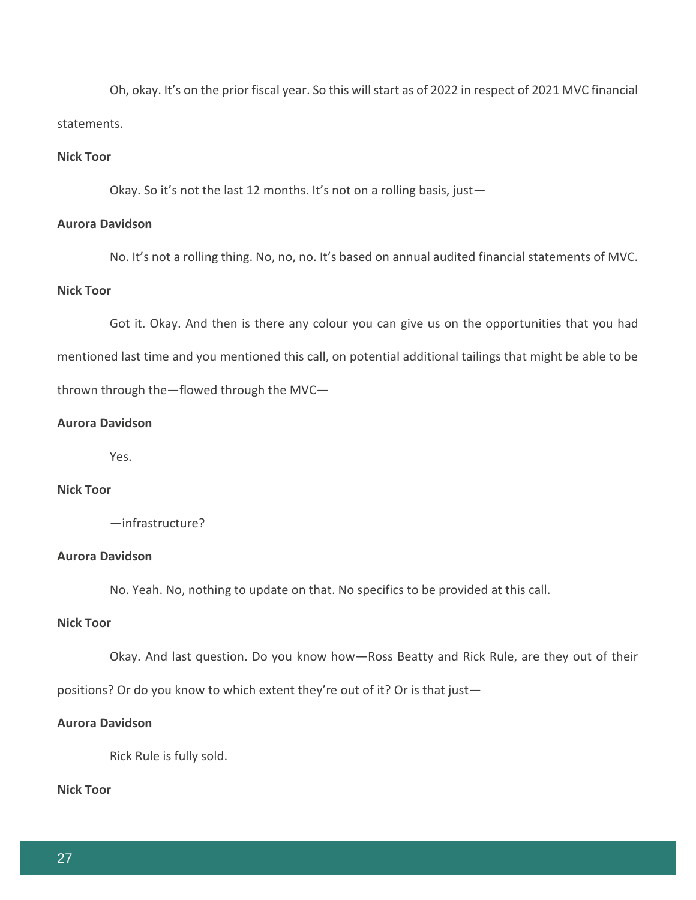Oh, okay. It's on the prior fiscal year. So this will start as of 2022 in respect of 2021 MVC financial statements.

## **Nick Toor**

Okay. So it's not the last 12 months. It's not on a rolling basis, just-

## **Aurora Davidson**

No. It's not a rolling thing. No, no, no. It's based on annual audited financial statements of MVC.

# **Nick Toor**

Got it. Okay. And then is there any colour you can give us on the opportunities that you had mentioned last time and you mentioned this call, on potential additional tailings that might be able to be thrown through the—flowed through the MVC—

## **Aurora Davidson**

Yes.

# **Nick Toor**

—infrastructure?

## **Aurora Davidson**

No. Yeah. No, nothing to update on that. No specifics to be provided at this call.

# **Nick Toor**

Okay. And last question. Do you know how—Ross Beatty and Rick Rule, are they out of their

positions? Or do you know to which extent they're out of it? Or is that just—

#### **Aurora Davidson**

Rick Rule is fully sold.

**Nick Toor**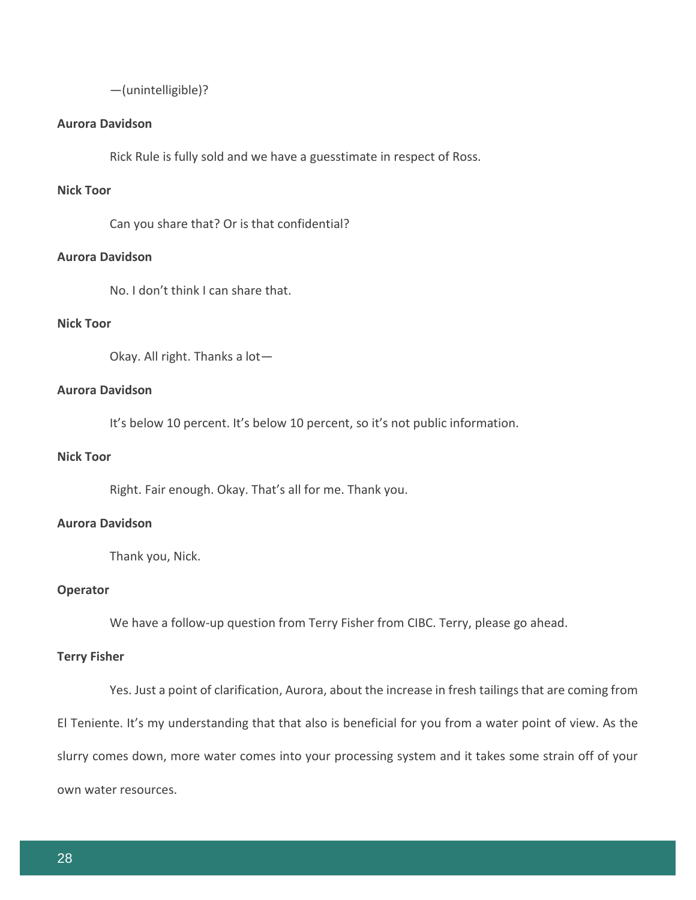—(unintelligible)?

## **Aurora Davidson**

Rick Rule is fully sold and we have a guesstimate in respect of Ross.

## **Nick Toor**

Can you share that? Or is that confidential?

## **Aurora Davidson**

No. I don't think I can share that.

# **Nick Toor**

Okay. All right. Thanks a lot—

# **Aurora Davidson**

It's below 10 percent. It's below 10 percent, so it's not public information.

## **Nick Toor**

Right. Fair enough. Okay. That's all for me. Thank you.

#### **Aurora Davidson**

Thank you, Nick.

## **Operator**

We have a follow-up question from Terry Fisher from CIBC. Terry, please go ahead.

## **Terry Fisher**

Yes. Just a point of clarification, Aurora, about the increase in fresh tailings that are coming from El Teniente. It's my understanding that that also is beneficial for you from a water point of view. As the slurry comes down, more water comes into your processing system and it takes some strain off of your own water resources.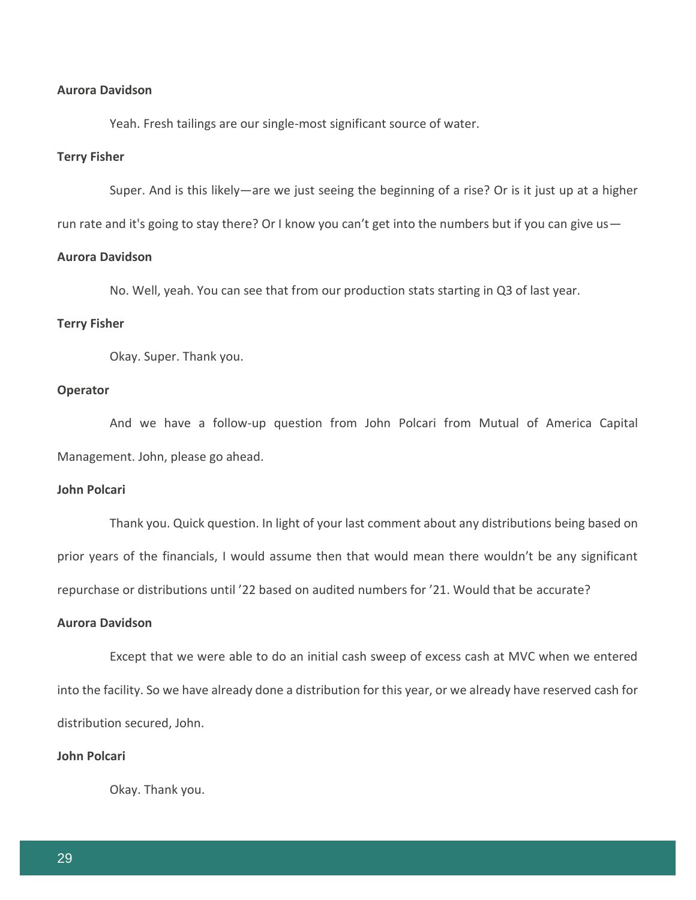## **Aurora Davidson**

Yeah. Fresh tailings are our single-most significant source of water.

## **Terry Fisher**

Super. And is this likely—are we just seeing the beginning of a rise? Or is it just up at a higher

run rate and it's going to stay there? Or I know you can't get into the numbers but if you can give us -

## **Aurora Davidson**

No. Well, yeah. You can see that from our production stats starting in Q3 of last year.

#### **Terry Fisher**

Okay. Super. Thank you.

## **Operator**

And we have a follow-up question from John Polcari from Mutual of America Capital Management. John, please go ahead.

## **John Polcari**

Thank you. Quick question. In light of your last comment about any distributions being based on prior years of the financials, I would assume then that would mean there wouldn't be any significant repurchase or distributions until '22 based on audited numbers for '21. Would that be accurate?

#### **Aurora Davidson**

Except that we were able to do an initial cash sweep of excess cash at MVC when we entered into the facility. So we have already done a distribution for this year, or we already have reserved cash for distribution secured, John.

## **John Polcari**

Okay. Thank you.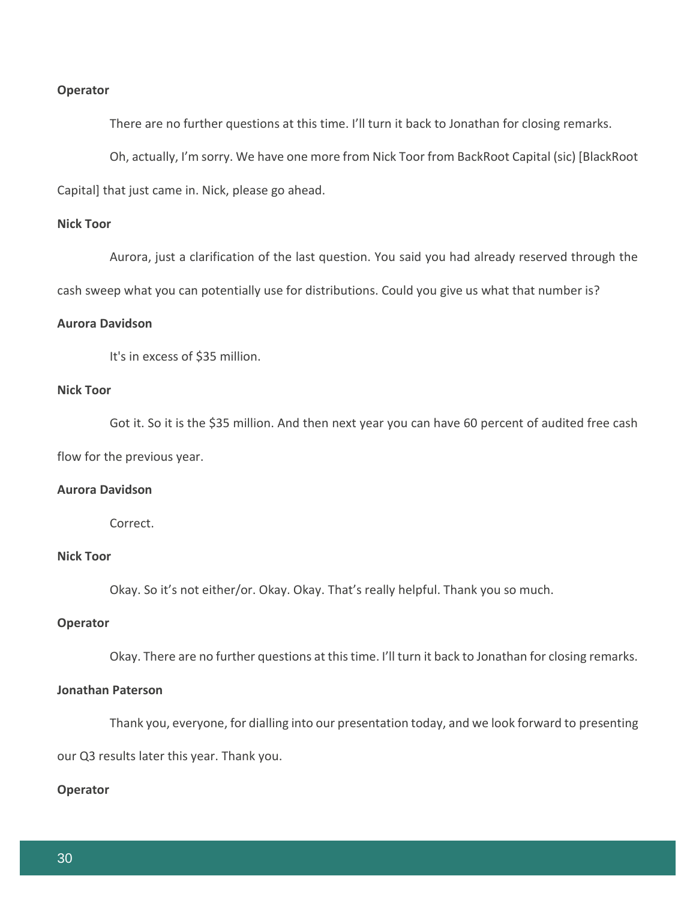#### **Operator**

There are no further questions at this time. I'll turn it back to Jonathan for closing remarks.

Oh, actually, I'm sorry. We have one more from Nick Toor from BackRoot Capital (sic) [BlackRoot

Capital] that just came in. Nick, please go ahead.

## **Nick Toor**

Aurora, just a clarification of the last question. You said you had already reserved through the

cash sweep what you can potentially use for distributions. Could you give us what that number is?

## **Aurora Davidson**

It's in excess of \$35 million.

# **Nick Toor**

Got it. So it is the \$35 million. And then next year you can have 60 percent of audited free cash flow for the previous year.

## **Aurora Davidson**

Correct.

# **Nick Toor**

Okay. So it's not either/or. Okay. Okay. That's really helpful. Thank you so much.

## **Operator**

Okay. There are no further questions at this time. I'll turn it back to Jonathan for closing remarks.

## **Jonathan Paterson**

Thank you, everyone, for dialling into our presentation today, and we look forward to presenting

our Q3 results later this year. Thank you.

## **Operator**